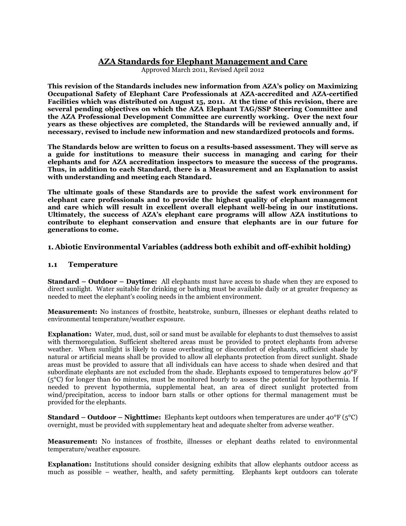# **AZA Standards for Elephant Management and Care**

Approved March 2011, Revised April 2012

**This revision of the Standards includes new information from AZA's policy on Maximizing Occupational Safety of Elephant Care Professionals at AZA-accredited and AZA-certified Facilities which was distributed on August 15, 2011. At the time of this revision, there are several pending objectives on which the AZA Elephant TAG/SSP Steering Committee and the AZA Professional Development Committee are currently working. Over the next four years as these objectives are completed, the Standards will be reviewed annually and, if necessary, revised to include new information and new standardized protocols and forms.**

**The Standards below are written to focus on a results-based assessment. They will serve as a guide for institutions to measure their success in managing and caring for their elephants and for AZA accreditation inspectors to measure the success of the programs. Thus, in addition to each Standard, there is a Measurement and an Explanation to assist with understanding and meeting each Standard.** 

**The ultimate goals of these Standards are to provide the safest work environment for elephant care professionals and to provide the highest quality of elephant management and care which will result in excellent overall elephant well-being in our institutions. Ultimately, the success of AZA's elephant care programs will allow AZA institutions to contribute to elephant conservation and ensure that elephants are in our future for generations to come.** 

## **1. Abiotic Environmental Variables (address both exhibit and off-exhibit holding)**

### **1.1 Temperature**

**Standard – Outdoor – Daytime:** All elephants must have access to shade when they are exposed to direct sunlight. Water suitable for drinking or bathing must be available daily or at greater frequency as needed to meet the elephant's cooling needs in the ambient environment.

**Measurement:** No instances of frostbite, heatstroke, sunburn, illnesses or elephant deaths related to environmental temperature/weather exposure.

**Explanation:** Water, mud, dust, soil or sand must be available for elephants to dust themselves to assist with thermoregulation. Sufficient sheltered areas must be provided to protect elephants from adverse weather. When sunlight is likely to cause overheating or discomfort of elephants, sufficient shade by natural or artificial means shall be provided to allow all elephants protection from direct sunlight. Shade areas must be provided to assure that all individuals can have access to shade when desired and that subordinate elephants are not excluded from the shade. Elephants exposed to temperatures below 40°F (5°C) for longer than 60 minutes, must be monitored hourly to assess the potential for hypothermia. If needed to prevent hypothermia, supplemental heat, an area of direct sunlight protected from wind/precipitation, access to indoor barn stalls or other options for thermal management must be provided for the elephants.

**Standard – Outdoor – Nighttime:** Elephants kept outdoors when temperatures are under 40°F (5°C) overnight, must be provided with supplementary heat and adequate shelter from adverse weather.

**Measurement:** No instances of frostbite, illnesses or elephant deaths related to environmental temperature/weather exposure.

**Explanation:** Institutions should consider designing exhibits that allow elephants outdoor access as much as possible – weather, health, and safety permitting. Elephants kept outdoors can tolerate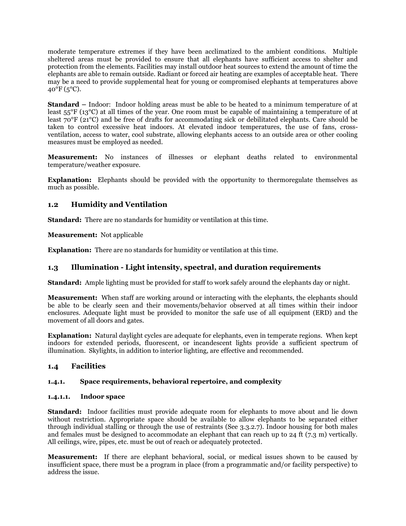moderate temperature extremes if they have been acclimatized to the ambient conditions. Multiple sheltered areas must be provided to ensure that all elephants have sufficient access to shelter and protection from the elements. Facilities may install outdoor heat sources to extend the amount of time the elephants are able to remain outside. Radiant or forced air heating are examples of acceptable heat. There may be a need to provide supplemental heat for young or compromised elephants at temperatures above  $40^{\circ}$ F (5<sup>o</sup>C).

**Standard –** Indoor: Indoor holding areas must be able to be heated to a minimum temperature of at least 55°F (13°C) at all times of the year. One room must be capable of maintaining a temperature of at least 70°F (21°C) and be free of drafts for accommodating sick or debilitated elephants. Care should be taken to control excessive heat indoors. At elevated indoor temperatures, the use of fans, crossventilation, access to water, cool substrate, allowing elephants access to an outside area or other cooling measures must be employed as needed.

**Measurement:** No instances of illnesses or elephant deaths related to environmental temperature/weather exposure.

**Explanation:** Elephants should be provided with the opportunity to thermoregulate themselves as much as possible.

# **1.2 Humidity and Ventilation**

**Standard:** There are no standards for humidity or ventilation at this time.

**Measurement:** Not applicable

**Explanation:** There are no standards for humidity or ventilation at this time.

## **1.3 Illumination - Light intensity, spectral, and duration requirements**

**Standard:** Ample lighting must be provided for staff to work safely around the elephants day or night.

**Measurement:** When staff are working around or interacting with the elephants, the elephants should be able to be clearly seen and their movements/behavior observed at all times within their indoor enclosures. Adequate light must be provided to monitor the safe use of all equipment (ERD) and the movement of all doors and gates.

**Explanation:** Natural daylight cycles are adequate for elephants, even in temperate regions. When kept indoors for extended periods, fluorescent, or incandescent lights provide a sufficient spectrum of illumination. Skylights, in addition to interior lighting, are effective and recommended.

## **1.4 Facilities**

## **1.4.1. Space requirements, behavioral repertoire, and complexity**

### **1.4.1.1. Indoor space**

**Standard:** Indoor facilities must provide adequate room for elephants to move about and lie down without restriction. Appropriate space should be available to allow elephants to be separated either through individual stalling or through the use of restraints (See 3.3.2.7). Indoor housing for both males and females must be designed to accommodate an elephant that can reach up to 24 ft (7.3 m) vertically. All ceilings, wire, pipes, etc. must be out of reach or adequately protected.

**Measurement:** If there are elephant behavioral, social, or medical issues shown to be caused by insufficient space, there must be a program in place (from a programmatic and/or facility perspective) to address the issue.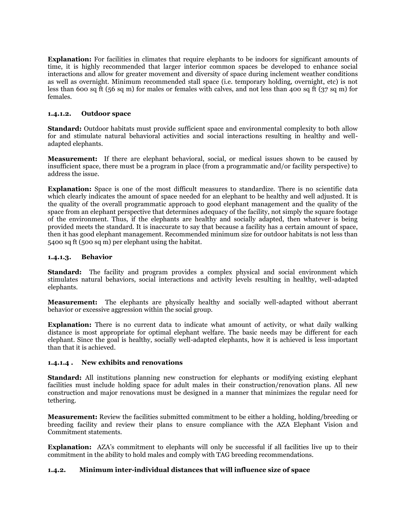**Explanation:** For facilities in climates that require elephants to be indoors for significant amounts of time, it is highly recommended that larger interior common spaces be developed to enhance social interactions and allow for greater movement and diversity of space during inclement weather conditions as well as overnight. Minimum recommended stall space (i.e. temporary holding, overnight, etc) is not less than 600 sq ft (56 sq m) for males or females with calves, and not less than 400 sq ft (37 sq m) for females.

### **1.4.1.2. Outdoor space**

**Standard:** Outdoor habitats must provide sufficient space and environmental complexity to both allow for and stimulate natural behavioral activities and social interactions resulting in healthy and welladapted elephants.

**Measurement:** If there are elephant behavioral, social, or medical issues shown to be caused by insufficient space, there must be a program in place (from a programmatic and/or facility perspective) to address the issue.

**Explanation:** Space is one of the most difficult measures to standardize. There is no scientific data which clearly indicates the amount of space needed for an elephant to be healthy and well adjusted. It is the quality of the overall programmatic approach to good elephant management and the quality of the space from an elephant perspective that determines adequacy of the facility, not simply the square footage of the environment. Thus, if the elephants are healthy and socially adapted, then whatever is being provided meets the standard. It is inaccurate to say that because a facility has a certain amount of space, then it has good elephant management. Recommended minimum size for outdoor habitats is not less than 5400 sq ft (500 sq m) per elephant using the habitat.

### **1.4.1.3. Behavior**

**Standard:** The facility and program provides a complex physical and social environment which stimulates natural behaviors, social interactions and activity levels resulting in healthy, well-adapted elephants.

**Measurement:** The elephants are physically healthy and socially well-adapted without aberrant behavior or excessive aggression within the social group.

**Explanation:** There is no current data to indicate what amount of activity, or what daily walking distance is most appropriate for optimal elephant welfare. The basic needs may be different for each elephant. Since the goal is healthy, socially well-adapted elephants, how it is achieved is less important than that it is achieved.

### **1.4.1.4 . New exhibits and renovations**

**Standard:** All institutions planning new construction for elephants or modifying existing elephant facilities must include holding space for adult males in their construction/renovation plans. All new construction and major renovations must be designed in a manner that minimizes the regular need for tethering.

**Measurement:** Review the facilities submitted commitment to be either a holding, holding/breeding or breeding facility and review their plans to ensure compliance with the AZA Elephant Vision and Commitment statements.

**Explanation:** AZA's commitment to elephants will only be successful if all facilities live up to their commitment in the ability to hold males and comply with TAG breeding recommendations.

## **1.4.2. Minimum inter-individual distances that will influence size of space**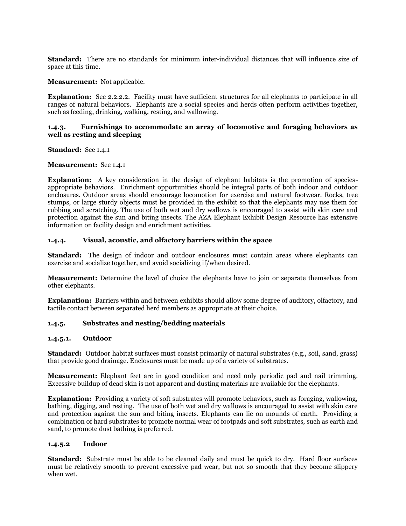**Standard:** There are no standards for minimum inter-individual distances that will influence size of space at this time.

### **Measurement:** Not applicable.

**Explanation:** See 2.2.2.2. Facility must have sufficient structures for all elephants to participate in all ranges of natural behaviors. Elephants are a social species and herds often perform activities together, such as feeding, drinking, walking, resting, and wallowing.

#### **1.4.3. Furnishings to accommodate an array of locomotive and foraging behaviors as well as resting and sleeping**

**Standard:** See 1.4.1

**Measurement:** See 1.4.1

**Explanation:** A key consideration in the design of elephant habitats is the promotion of speciesappropriate behaviors. Enrichment opportunities should be integral parts of both indoor and outdoor enclosures. Outdoor areas should encourage locomotion for exercise and natural footwear. Rocks, tree stumps, or large sturdy objects must be provided in the exhibit so that the elephants may use them for rubbing and scratching. The use of both wet and dry wallows is encouraged to assist with skin care and protection against the sun and biting insects. The AZA Elephant Exhibit Design Resource has extensive information on facility design and enrichment activities.

#### **1.4.4. Visual, acoustic, and olfactory barriers within the space**

**Standard:** The design of indoor and outdoor enclosures must contain areas where elephants can exercise and socialize together, and avoid socializing if/when desired.

**Measurement:** Determine the level of choice the elephants have to join or separate themselves from other elephants.

**Explanation:** Barriers within and between exhibits should allow some degree of auditory, olfactory, and tactile contact between separated herd members as appropriate at their choice.

### **1.4.5. Substrates and nesting/bedding materials**

#### **1.4.5.1. Outdoor**

**Standard:** Outdoor habitat surfaces must consist primarily of natural substrates (e.g., soil, sand, grass) that provide good drainage. Enclosures must be made up of a variety of substrates.

**Measurement:** Elephant feet are in good condition and need only periodic pad and nail trimming. Excessive buildup of dead skin is not apparent and dusting materials are available for the elephants.

**Explanation:** Providing a variety of soft substrates will promote behaviors, such as foraging, wallowing, bathing, digging, and resting. The use of both wet and dry wallows is encouraged to assist with skin care and protection against the sun and biting insects. Elephants can lie on mounds of earth. Providing a combination of hard substrates to promote normal wear of footpads and soft substrates, such as earth and sand, to promote dust bathing is preferred.

#### **1.4.5.2 Indoor**

**Standard:** Substrate must be able to be cleaned daily and must be quick to dry. Hard floor surfaces must be relatively smooth to prevent excessive pad wear, but not so smooth that they become slippery when wet.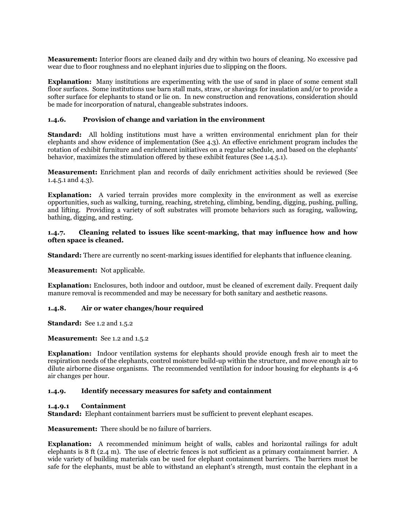**Measurement:** Interior floors are cleaned daily and dry within two hours of cleaning. No excessive pad wear due to floor roughness and no elephant injuries due to slipping on the floors.

**Explanation:** Many institutions are experimenting with the use of sand in place of some cement stall floor surfaces. Some institutions use barn stall mats, straw, or shavings for insulation and/or to provide a softer surface for elephants to stand or lie on. In new construction and renovations, consideration should be made for incorporation of natural, changeable substrates indoors.

### **1.4.6. Provision of change and variation in the environment**

**Standard:** All holding institutions must have a written environmental enrichment plan for their elephants and show evidence of implementation (See 4.3). An effective enrichment program includes the rotation of exhibit furniture and enrichment initiatives on a regular schedule, and based on the elephants' behavior, maximizes the stimulation offered by these exhibit features (See 1.4.5.1).

**Measurement:** Enrichment plan and records of daily enrichment activities should be reviewed (See 1.4.5.1 and 4.3).

**Explanation:** A varied terrain provides more complexity in the environment as well as exercise opportunities, such as walking, turning, reaching, stretching, climbing, bending, digging, pushing, pulling, and lifting. Providing a variety of soft substrates will promote behaviors such as foraging, wallowing, bathing, digging, and resting.

#### **1.4.7. Cleaning related to issues like scent-marking, that may influence how and how often space is cleaned.**

**Standard:** There are currently no scent-marking issues identified for elephants that influence cleaning.

**Measurement:** Not applicable.

**Explanation:** Enclosures, both indoor and outdoor, must be cleaned of excrement daily. Frequent daily manure removal is recommended and may be necessary for both sanitary and aesthetic reasons.

### **1.4.8. Air or water changes/hour required**

**Standard:** See 1.2 and 1.5.2

**Measurement:** See 1.2 and 1.5.2

**Explanation:** Indoor ventilation systems for elephants should provide enough fresh air to meet the respiration needs of the elephants, control moisture build-up within the structure, and move enough air to dilute airborne disease organisms. The recommended ventilation for indoor housing for elephants is 4-6 air changes per hour.

### **1.4.9. Identify necessary measures for safety and containment**

#### **1.4.9.1 Containment**

**Standard:** Elephant containment barriers must be sufficient to prevent elephant escapes.

**Measurement:** There should be no failure of barriers.

**Explanation:** A recommended minimum height of walls, cables and horizontal railings for adult elephants is 8 ft (2.4 m). The use of electric fences is not sufficient as a primary containment barrier. A wide variety of building materials can be used for elephant containment barriers. The barriers must be safe for the elephants, must be able to withstand an elephant's strength, must contain the elephant in a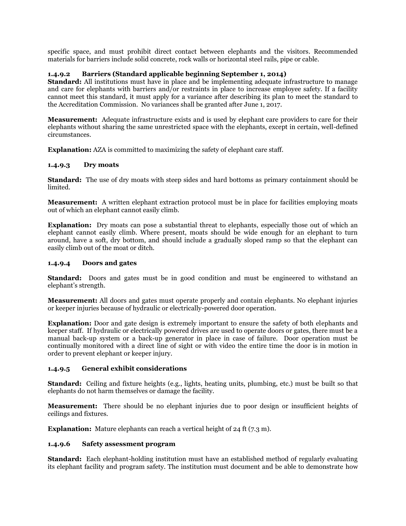specific space, and must prohibit direct contact between elephants and the visitors. Recommended materials for barriers include solid concrete, rock walls or horizontal steel rails, pipe or cable.

## **1.4.9.2 Barriers (Standard applicable beginning September 1, 2014)**

**Standard:** All institutions must have in place and be implementing adequate infrastructure to manage and care for elephants with barriers and/or restraints in place to increase employee safety. If a facility cannot meet this standard, it must apply for a variance after describing its plan to meet the standard to the Accreditation Commission. No variances shall be granted after June 1, 2017.

**Measurement:** Adequate infrastructure exists and is used by elephant care providers to care for their elephants without sharing the same unrestricted space with the elephants, except in certain, well-defined circumstances.

**Explanation:** AZA is committed to maximizing the safety of elephant care staff.

### **1.4.9.3 Dry moats**

**Standard:** The use of dry moats with steep sides and hard bottoms as primary containment should be limited.

**Measurement:** A written elephant extraction protocol must be in place for facilities employing moats out of which an elephant cannot easily climb.

**Explanation:** Dry moats can pose a substantial threat to elephants, especially those out of which an elephant cannot easily climb. Where present, moats should be wide enough for an elephant to turn around, have a soft, dry bottom, and should include a gradually sloped ramp so that the elephant can easily climb out of the moat or ditch.

### **1.4.9.4 Doors and gates**

**Standard:** Doors and gates must be in good condition and must be engineered to withstand an elephant's strength.

**Measurement:** All doors and gates must operate properly and contain elephants. No elephant injuries or keeper injuries because of hydraulic or electrically-powered door operation.

**Explanation:** Door and gate design is extremely important to ensure the safety of both elephants and keeper staff. If hydraulic or electrically powered drives are used to operate doors or gates, there must be a manual back-up system or a back-up generator in place in case of failure. Door operation must be continually monitored with a direct line of sight or with video the entire time the door is in motion in order to prevent elephant or keeper injury.

### **1.4.9.5 General exhibit considerations**

**Standard:** Ceiling and fixture heights (e.g., lights, heating units, plumbing, etc.) must be built so that elephants do not harm themselves or damage the facility.

**Measurement:** There should be no elephant injuries due to poor design or insufficient heights of ceilings and fixtures.

**Explanation:** Mature elephants can reach a vertical height of 24 ft (7.3 m).

### **1.4.9.6 Safety assessment program**

**Standard:** Each elephant-holding institution must have an established method of regularly evaluating its elephant facility and program safety. The institution must document and be able to demonstrate how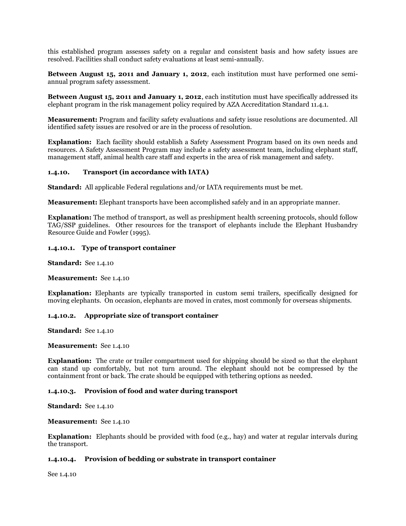this established program assesses safety on a regular and consistent basis and how safety issues are resolved. Facilities shall conduct safety evaluations at least semi-annually.

**Between August 15, 2011 and January 1, 2012**, each institution must have performed one semiannual program safety assessment.

**Between August 15, 2011 and January 1, 2012**, each institution must have specifically addressed its elephant program in the risk management policy required by AZA Accreditation Standard 11.4.1.

**Measurement:** Program and facility safety evaluations and safety issue resolutions are documented. All identified safety issues are resolved or are in the process of resolution.

**Explanation:** Each facility should establish a Safety Assessment Program based on its own needs and resources. A Safety Assessment Program may include a safety assessment team, including elephant staff, management staff, animal health care staff and experts in the area of risk management and safety.

### **1.4.10. Transport (in accordance with IATA)**

**Standard:** All applicable Federal regulations and/or IATA requirements must be met.

**Measurement:** Elephant transports have been accomplished safely and in an appropriate manner.

**Explanation:** The method of transport, as well as preshipment health screening protocols, should follow TAG/SSP guidelines. Other resources for the transport of elephants include the Elephant Husbandry Resource Guide and Fowler (1995).

#### **1.4.10.1. Type of transport container**

**Standard:** See 1.4.10

**Measurement:** See 1.4.10

**Explanation:** Elephants are typically transported in custom semi trailers, specifically designed for moving elephants. On occasion, elephants are moved in crates, most commonly for overseas shipments.

#### **1.4.10.2. Appropriate size of transport container**

**Standard:** See 1.4.10

**Measurement:** See 1.4.10

**Explanation:** The crate or trailer compartment used for shipping should be sized so that the elephant can stand up comfortably, but not turn around. The elephant should not be compressed by the containment front or back. The crate should be equipped with tethering options as needed.

### **1.4.10.3. Provision of food and water during transport**

**Standard:** See 1.4.10

**Measurement:** See 1.4.10

**Explanation:** Elephants should be provided with food (e.g., hay) and water at regular intervals during the transport.

#### **1.4.10.4. Provision of bedding or substrate in transport container**

See 1.4.10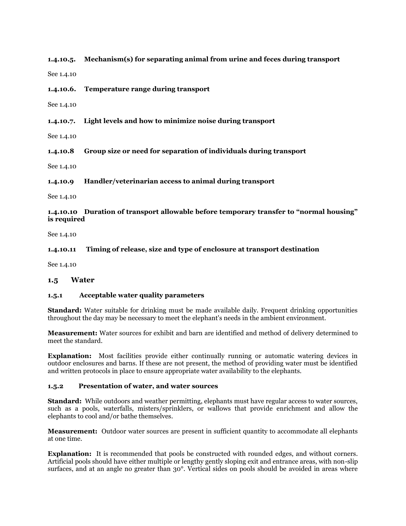**1.4.10.5. Mechanism(s) for separating animal from urine and feces during transport**

See 1.4.10

#### **1.4.10.6. Temperature range during transport**

See 1.4.10

**1.4.10.7. Light levels and how to minimize noise during transport**

See 1.4.10

**1.4.10.8 Group size or need for separation of individuals during transport**

See 1.4.10

**1.4.10.9 Handler/veterinarian access to animal during transport**

See 1.4.10

### **1.4.10.10 Duration of transport allowable before temporary transfer to "normal housing" is required**

See 1.4.10

**1.4.10.11 Timing of release, size and type of enclosure at transport destination**

See 1.4.10

#### **1.5 Water**

#### **1.5.1 Acceptable water quality parameters**

**Standard:** Water suitable for drinking must be made available daily. Frequent drinking opportunities throughout the day may be necessary to meet the elephant's needs in the ambient environment.

**Measurement:** Water sources for exhibit and barn are identified and method of delivery determined to meet the standard.

**Explanation:** Most facilities provide either continually running or automatic watering devices in outdoor enclosures and barns. If these are not present, the method of providing water must be identified and written protocols in place to ensure appropriate water availability to the elephants.

#### **1.5.2 Presentation of water, and water sources**

**Standard:** While outdoors and weather permitting, elephants must have regular access to water sources, such as a pools, waterfalls, misters/sprinklers, or wallows that provide enrichment and allow the elephants to cool and/or bathe themselves.

**Measurement:** Outdoor water sources are present in sufficient quantity to accommodate all elephants at one time.

**Explanation:** It is recommended that pools be constructed with rounded edges, and without corners. Artificial pools should have either multiple or lengthy gently sloping exit and entrance areas, with non-slip surfaces, and at an angle no greater than 30°. Vertical sides on pools should be avoided in areas where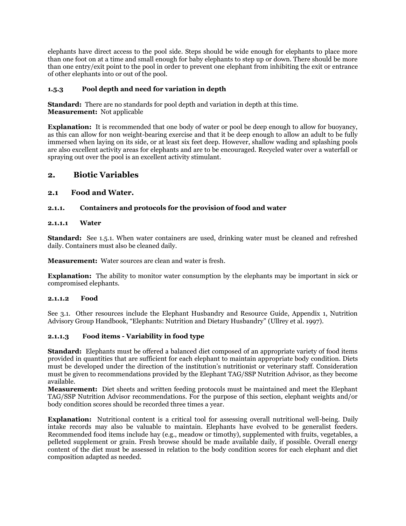elephants have direct access to the pool side. Steps should be wide enough for elephants to place more than one foot on at a time and small enough for baby elephants to step up or down. There should be more than one entry/exit point to the pool in order to prevent one elephant from inhibiting the exit or entrance of other elephants into or out of the pool.

## **1.5.3 Pool depth and need for variation in depth**

**Standard:** There are no standards for pool depth and variation in depth at this time. **Measurement:** Not applicable

**Explanation:** It is recommended that one body of water or pool be deep enough to allow for buoyancy, as this can allow for non weight-bearing exercise and that it be deep enough to allow an adult to be fully immersed when laying on its side, or at least six feet deep. However, shallow wading and splashing pools are also excellent activity areas for elephants and are to be encouraged. Recycled water over a waterfall or spraying out over the pool is an excellent activity stimulant.

# **2. Biotic Variables**

### **2.1 Food and Water.**

### **2.1.1. Containers and protocols for the provision of food and water**

### **2.1.1.1 Water**

**Standard:** See 1.5.1. When water containers are used, drinking water must be cleaned and refreshed daily. Containers must also be cleaned daily.

**Measurement:** Water sources are clean and water is fresh.

**Explanation:** The ability to monitor water consumption by the elephants may be important in sick or compromised elephants.

### **2.1.1.2 Food**

See 3.1. Other resources include the Elephant Husbandry and Resource Guide, Appendix 1, Nutrition Advisory Group Handbook, "Elephants: Nutrition and Dietary Husbandry" (Ullrey et al. 1997).

### **2.1.1.3 Food items - Variability in food type**

**Standard:** Elephants must be offered a balanced diet composed of an appropriate variety of food items provided in quantities that are sufficient for each elephant to maintain appropriate body condition. Diets must be developed under the direction of the institution's nutritionist or veterinary staff. Consideration must be given to recommendations provided by the Elephant TAG/SSP Nutrition Advisor, as they become available.

**Measurement:** Diet sheets and written feeding protocols must be maintained and meet the Elephant TAG/SSP Nutrition Advisor recommendations. For the purpose of this section, elephant weights and/or body condition scores should be recorded three times a year.

**Explanation:** Nutritional content is a critical tool for assessing overall nutritional well-being. Daily intake records may also be valuable to maintain. Elephants have evolved to be generalist feeders. Recommended food items include hay (e.g., meadow or timothy), supplemented with fruits, vegetables, a pelleted supplement or grain. Fresh browse should be made available daily, if possible. Overall energy content of the diet must be assessed in relation to the body condition scores for each elephant and diet composition adapted as needed.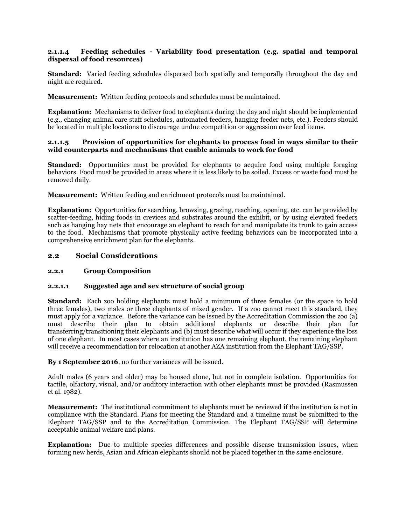### **2.1.1.4 Feeding schedules - Variability food presentation (e.g. spatial and temporal dispersal of food resources)**

**Standard:** Varied feeding schedules dispersed both spatially and temporally throughout the day and night are required.

**Measurement:** Written feeding protocols and schedules must be maintained.

**Explanation:** Mechanisms to deliver food to elephants during the day and night should be implemented (e.g., changing animal care staff schedules, automated feeders, hanging feeder nets, etc.). Feeders should be located in multiple locations to discourage undue competition or aggression over feed items.

### **2.1.1.5 Provision of opportunities for elephants to process food in ways similar to their wild counterparts and mechanisms that enable animals to work for food**

**Standard:** Opportunities must be provided for elephants to acquire food using multiple foraging behaviors. Food must be provided in areas where it is less likely to be soiled. Excess or waste food must be removed daily.

**Measurement:** Written feeding and enrichment protocols must be maintained.

**Explanation:** Opportunities for searching, browsing, grazing, reaching, opening, etc. can be provided by scatter-feeding, hiding foods in crevices and substrates around the exhibit, or by using elevated feeders such as hanging hay nets that encourage an elephant to reach for and manipulate its trunk to gain access to the food. Mechanisms that promote physically active feeding behaviors can be incorporated into a comprehensive enrichment plan for the elephants.

### **2.2 Social Considerations**

### **2.2.1 Group Composition**

### **2.2.1.1 Suggested age and sex structure of social group**

**Standard:** Each zoo holding elephants must hold a minimum of three females (or the space to hold three females), two males or three elephants of mixed gender. If a zoo cannot meet this standard, they must apply for a variance. Before the variance can be issued by the Accreditation Commission the zoo (a) must describe their plan to obtain additional elephants or describe their plan for transferring/transitioning their elephants and (b) must describe what will occur if they experience the loss of one elephant. In most cases where an institution has one remaining elephant, the remaining elephant will receive a recommendation for relocation at another AZA institution from the Elephant TAG/SSP.

**By 1 September 2016**, no further variances will be issued.

Adult males (6 years and older) may be housed alone, but not in complete isolation. Opportunities for tactile, olfactory, visual, and/or auditory interaction with other elephants must be provided (Rasmussen et al. 1982).

**Measurement:** The institutional commitment to elephants must be reviewed if the institution is not in compliance with the Standard. Plans for meeting the Standard and a timeline must be submitted to the Elephant TAG/SSP and to the Accreditation Commission. The Elephant TAG/SSP will determine acceptable animal welfare and plans.

**Explanation:** Due to multiple species differences and possible disease transmission issues, when forming new herds, Asian and African elephants should not be placed together in the same enclosure.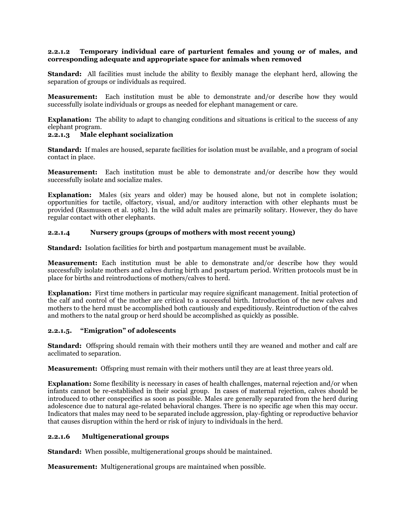### **2.2.1.2 Temporary individual care of parturient females and young or of males, and corresponding adequate and appropriate space for animals when removed**

**Standard:** All facilities must include the ability to flexibly manage the elephant herd, allowing the separation of groups or individuals as required.

**Measurement:** Each institution must be able to demonstrate and/or describe how they would successfully isolate individuals or groups as needed for elephant management or care.

**Explanation:** The ability to adapt to changing conditions and situations is critical to the success of any elephant program.

### **2.2.1.3 Male elephant socialization**

**Standard:** If males are housed, separate facilities for isolation must be available, and a program of social contact in place.

**Measurement:** Each institution must be able to demonstrate and/or describe how they would successfully isolate and socialize males.

**Explanation:** Males (six years and older) may be housed alone, but not in complete isolation; opportunities for tactile, olfactory, visual, and/or auditory interaction with other elephants must be provided (Rasmussen et al. 1982). In the wild adult males are primarily solitary. However, they do have regular contact with other elephants.

### **2.2.1.4 Nursery groups (groups of mothers with most recent young)**

**Standard:** Isolation facilities for birth and postpartum management must be available.

**Measurement:** Each institution must be able to demonstrate and/or describe how they would successfully isolate mothers and calves during birth and postpartum period. Written protocols must be in place for births and reintroductions of mothers/calves to herd.

**Explanation:** First time mothers in particular may require significant management. Initial protection of the calf and control of the mother are critical to a successful birth. Introduction of the new calves and mothers to the herd must be accomplished both cautiously and expeditiously. Reintroduction of the calves and mothers to the natal group or herd should be accomplished as quickly as possible.

## **2.2.1.5. "Emigration" of adolescents**

**Standard:** Offspring should remain with their mothers until they are weaned and mother and calf are acclimated to separation.

**Measurement:** Offspring must remain with their mothers until they are at least three years old.

**Explanation:** Some flexibility is necessary in cases of health challenges, maternal rejection and/or when infants cannot be re-established in their social group. In cases of maternal rejection, calves should be introduced to other conspecifics as soon as possible. Males are generally separated from the herd during adolescence due to natural age-related behavioral changes. There is no specific age when this may occur. Indicators that males may need to be separated include aggression, play-fighting or reproductive behavior that causes disruption within the herd or risk of injury to individuals in the herd.

## **2.2.1.6 Multigenerational groups**

**Standard:** When possible, multigenerational groups should be maintained.

**Measurement:** Multigenerational groups are maintained when possible.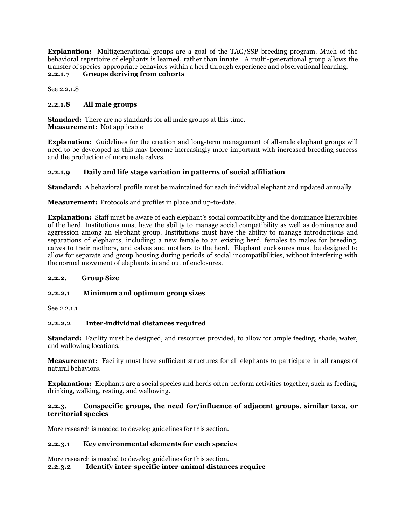**Explanation:** Multigenerational groups are a goal of the TAG/SSP breeding program. Much of the behavioral repertoire of elephants is learned, rather than innate. A multi-generational group allows the transfer of species-appropriate behaviors within a herd through experience and observational learning. **2.2.1.7 Groups deriving from cohorts** 

See 2.2.1.8

## **2.2.1.8 All male groups**

**Standard:** There are no standards for all male groups at this time. **Measurement:** Not applicable

**Explanation:** Guidelines for the creation and long-term management of all-male elephant groups will need to be developed as this may become increasingly more important with increased breeding success and the production of more male calves.

## **2.2.1.9 Daily and life stage variation in patterns of social affiliation**

**Standard:** A behavioral profile must be maintained for each individual elephant and updated annually.

**Measurement:** Protocols and profiles in place and up-to-date.

**Explanation:** Staff must be aware of each elephant's social compatibility and the dominance hierarchies of the herd. Institutions must have the ability to manage social compatibility as well as dominance and aggression among an elephant group. Institutions must have the ability to manage introductions and separations of elephants, including; a new female to an existing herd, females to males for breeding, calves to their mothers, and calves and mothers to the herd. Elephant enclosures must be designed to allow for separate and group housing during periods of social incompatibilities, without interfering with the normal movement of elephants in and out of enclosures.

## **2.2.2. Group Size**

## **2.2.2.1 Minimum and optimum group sizes**

See 2.2.1.1

## **2.2.2.2 Inter-individual distances required**

**Standard:** Facility must be designed, and resources provided, to allow for ample feeding, shade, water, and wallowing locations.

**Measurement:** Facility must have sufficient structures for all elephants to participate in all ranges of natural behaviors.

**Explanation:** Elephants are a social species and herds often perform activities together, such as feeding, drinking, walking, resting, and wallowing.

### **2.2.3. Conspecific groups, the need for/influence of adjacent groups, similar taxa, or territorial species**

More research is needed to develop guidelines for this section.

### **2.2.3.1 Key environmental elements for each species**

More research is needed to develop guidelines for this section.

### **2.2.3.2 Identify inter-specific inter-animal distances require**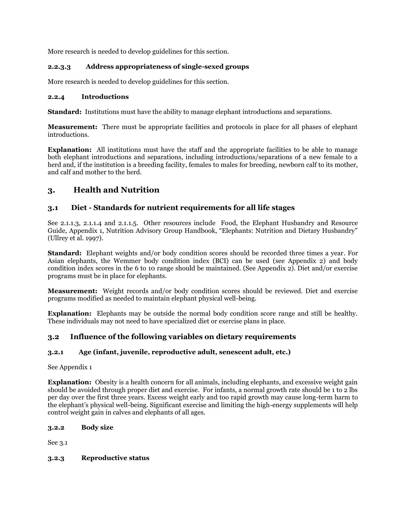More research is needed to develop guidelines for this section.

# **2.2.3.3 Address appropriateness of single-sexed groups**

More research is needed to develop guidelines for this section.

## **2.2.4 Introductions**

**Standard:** Institutions must have the ability to manage elephant introductions and separations.

**Measurement:** There must be appropriate facilities and protocols in place for all phases of elephant introductions.

**Explanation:** All institutions must have the staff and the appropriate facilities to be able to manage both elephant introductions and separations, including introductions/separations of a new female to a herd and, if the institution is a breeding facility, females to males for breeding, newborn calf to its mother, and calf and mother to the herd.

# **3. Health and Nutrition**

# **3.1 Diet - Standards for nutrient requirements for all life stages**

See 2.1.1.3, 2.1.1.4 and 2.1.1.5. Other resources include Food, the Elephant Husbandry and Resource Guide, Appendix 1, Nutrition Advisory Group Handbook, "Elephants: Nutrition and Dietary Husbandry" (Ullrey et al. 1997).

**Standard:** Elephant weights and/or body condition scores should be recorded three times a year. For Asian elephants, the Wemmer body condition index (BCI) can be used (see Appendix 2) and body condition index scores in the 6 to 10 range should be maintained. (See Appendix 2). Diet and/or exercise programs must be in place for elephants.

**Measurement:** Weight records and/or body condition scores should be reviewed. Diet and exercise programs modified as needed to maintain elephant physical well-being.

**Explanation:** Elephants may be outside the normal body condition score range and still be healthy. These individuals may not need to have specialized diet or exercise plans in place.

# **3.2 Influence of the following variables on dietary requirements**

# **3.2.1 Age (infant, juvenile, reproductive adult, senescent adult, etc.)**

See Appendix 1

**Explanation:** Obesity is a health concern for all animals, including elephants, and excessive weight gain should be avoided through proper diet and exercise. For infants, a normal growth rate should be 1 to 2 lbs per day over the first three years. Excess weight early and too rapid growth may cause long-term harm to the elephant's physical well-being. Significant exercise and limiting the high-energy supplements will help control weight gain in calves and elephants of all ages.

## **3.2.2 Body size**

See 3.1

## **3.2.3 Reproductive status**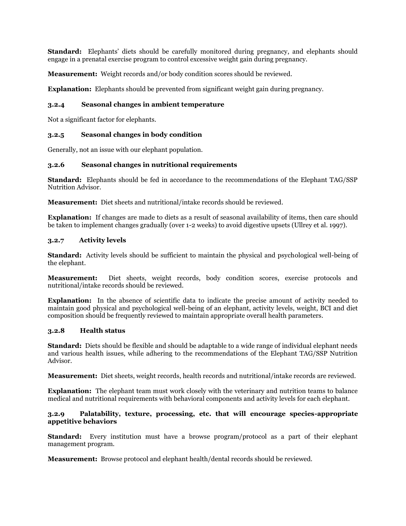**Standard:** Elephants' diets should be carefully monitored during pregnancy, and elephants should engage in a prenatal exercise program to control excessive weight gain during pregnancy.

**Measurement:** Weight records and/or body condition scores should be reviewed.

**Explanation:** Elephants should be prevented from significant weight gain during pregnancy.

### **3.2.4 Seasonal changes in ambient temperature**

Not a significant factor for elephants.

### **3.2.5 Seasonal changes in body condition**

Generally, not an issue with our elephant population.

### **3.2.6 Seasonal changes in nutritional requirements**

**Standard:** Elephants should be fed in accordance to the recommendations of the Elephant TAG/SSP Nutrition Advisor.

**Measurement:** Diet sheets and nutritional/intake records should be reviewed.

**Explanation:** If changes are made to diets as a result of seasonal availability of items, then care should be taken to implement changes gradually (over 1-2 weeks) to avoid digestive upsets (Ullrey et al. 1997).

### **3.2.7 Activity levels**

**Standard:** Activity levels should be sufficient to maintain the physical and psychological well-being of the elephant.

**Measurement:** Diet sheets, weight records, body condition scores, exercise protocols and nutritional/intake records should be reviewed.

**Explanation:** In the absence of scientific data to indicate the precise amount of activity needed to maintain good physical and psychological well-being of an elephant, activity levels, weight, BCI and diet composition should be frequently reviewed to maintain appropriate overall health parameters.

### **3.2.8 Health status**

**Standard:** Diets should be flexible and should be adaptable to a wide range of individual elephant needs and various health issues, while adhering to the recommendations of the Elephant TAG/SSP Nutrition Advisor.

**Measurement:** Diet sheets, weight records, health records and nutritional/intake records are reviewed.

**Explanation:** The elephant team must work closely with the veterinary and nutrition teams to balance medical and nutritional requirements with behavioral components and activity levels for each elephant.

### **3.2.9 Palatability, texture, processing, etc. that will encourage species-appropriate appetitive behaviors**

**Standard:** Every institution must have a browse program/protocol as a part of their elephant management program.

**Measurement:** Browse protocol and elephant health/dental records should be reviewed.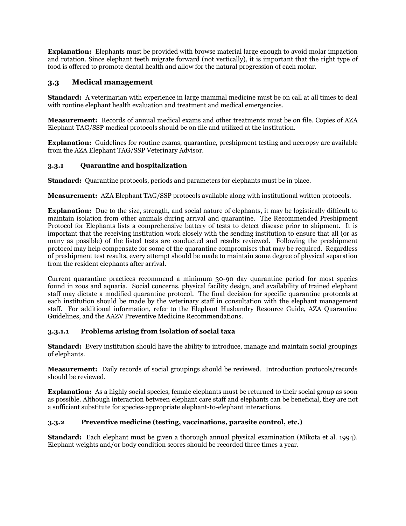**Explanation:** Elephants must be provided with browse material large enough to avoid molar impaction and rotation. Since elephant teeth migrate forward (not vertically), it is important that the right type of food is offered to promote dental health and allow for the natural progression of each molar.

# **3.3 Medical management**

**Standard:** A veterinarian with experience in large mammal medicine must be on call at all times to deal with routine elephant health evaluation and treatment and medical emergencies.

**Measurement:** Records of annual medical exams and other treatments must be on file. Copies of AZA Elephant TAG/SSP medical protocols should be on file and utilized at the institution.

**Explanation:** Guidelines for routine exams, quarantine, preshipment testing and necropsy are available from the AZA Elephant TAG/SSP Veterinary Advisor.

## **3.3.1 Quarantine and hospitalization**

**Standard:** Quarantine protocols, periods and parameters for elephants must be in place.

**Measurement:** AZA Elephant TAG/SSP protocols available along with institutional written protocols.

**Explanation:** Due to the size, strength, and social nature of elephants, it may be logistically difficult to maintain isolation from other animals during arrival and quarantine. The Recommended Preshipment Protocol for Elephants lists a comprehensive battery of tests to detect disease prior to shipment. It is important that the receiving institution work closely with the sending institution to ensure that all (or as many as possible) of the listed tests are conducted and results reviewed. Following the preshipment protocol may help compensate for some of the quarantine compromises that may be required. Regardless of preshipment test results, every attempt should be made to maintain some degree of physical separation from the resident elephants after arrival.

Current quarantine practices recommend a minimum 30-90 day quarantine period for most species found in zoos and aquaria. Social concerns, physical facility design, and availability of trained elephant staff may dictate a modified quarantine protocol. The final decision for specific quarantine protocols at each institution should be made by the veterinary staff in consultation with the elephant management staff. For additional information, refer to the Elephant Husbandry Resource Guide, AZA Quarantine Guidelines, and the AAZV Preventive Medicine Recommendations.

## **3.3.1.1 Problems arising from isolation of social taxa**

**Standard:** Every institution should have the ability to introduce, manage and maintain social groupings of elephants.

**Measurement:** Daily records of social groupings should be reviewed. Introduction protocols/records should be reviewed.

**Explanation:** As a highly social species, female elephants must be returned to their social group as soon as possible. Although interaction between elephant care staff and elephants can be beneficial, they are not a sufficient substitute for species-appropriate elephant-to-elephant interactions.

## **3.3.2 Preventive medicine (testing, vaccinations, parasite control, etc.)**

**Standard:** Each elephant must be given a thorough annual physical examination (Mikota et al. 1994). Elephant weights and/or body condition scores should be recorded three times a year.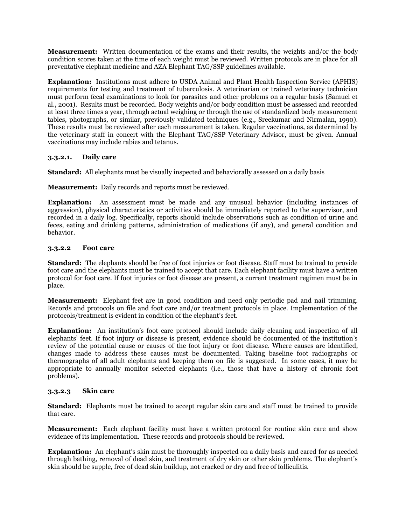**Measurement:** Written documentation of the exams and their results, the weights and/or the body condition scores taken at the time of each weight must be reviewed. Written protocols are in place for all preventative elephant medicine and AZA Elephant TAG/SSP guidelines available.

**Explanation:** Institutions must adhere to USDA Animal and Plant Health Inspection Service (APHIS) requirements for testing and treatment of tuberculosis. A veterinarian or trained veterinary technician must perform fecal examinations to look for parasites and other problems on a regular basis (Samuel et al., 2001). Results must be recorded. Body weights and/or body condition must be assessed and recorded at least three times a year, through actual weighing or through the use of standardized body measurement tables, photographs, or similar, previously validated techniques (e.g., Sreekumar and Nirmalan, 1990). These results must be reviewed after each measurement is taken. Regular vaccinations, as determined by the veterinary staff in concert with the Elephant TAG/SSP Veterinary Advisor, must be given. Annual vaccinations may include rabies and tetanus.

## **3.3.2.1. Daily care**

**Standard:** All elephants must be visually inspected and behaviorally assessed on a daily basis

**Measurement:** Daily records and reports must be reviewed.

**Explanation:** An assessment must be made and any unusual behavior (including instances of aggression), physical characteristics or activities should be immediately reported to the supervisor, and recorded in a daily log. Specifically, reports should include observations such as condition of urine and feces, eating and drinking patterns, administration of medications (if any), and general condition and behavior.

### **3.3.2.2 Foot care**

**Standard:** The elephants should be free of foot injuries or foot disease. Staff must be trained to provide foot care and the elephants must be trained to accept that care. Each elephant facility must have a written protocol for foot care. If foot injuries or foot disease are present, a current treatment regimen must be in place.

**Measurement:** Elephant feet are in good condition and need only periodic pad and nail trimming. Records and protocols on file and foot care and/or treatment protocols in place. Implementation of the protocols/treatment is evident in condition of the elephant's feet.

**Explanation:** An institution's foot care protocol should include daily cleaning and inspection of all elephants' feet. If foot injury or disease is present, evidence should be documented of the institution's review of the potential cause or causes of the foot injury or foot disease. Where causes are identified, changes made to address these causes must be documented. Taking baseline foot radiographs or thermographs of all adult elephants and keeping them on file is suggested. In some cases, it may be appropriate to annually monitor selected elephants (i.e., those that have a history of chronic foot problems).

### **3.3.2.3 Skin care**

**Standard:** Elephants must be trained to accept regular skin care and staff must be trained to provide that care.

**Measurement:** Each elephant facility must have a written protocol for routine skin care and show evidence of its implementation. These records and protocols should be reviewed.

**Explanation:** An elephant's skin must be thoroughly inspected on a daily basis and cared for as needed through bathing, removal of dead skin, and treatment of dry skin or other skin problems. The elephant's skin should be supple, free of dead skin buildup, not cracked or dry and free of folliculitis.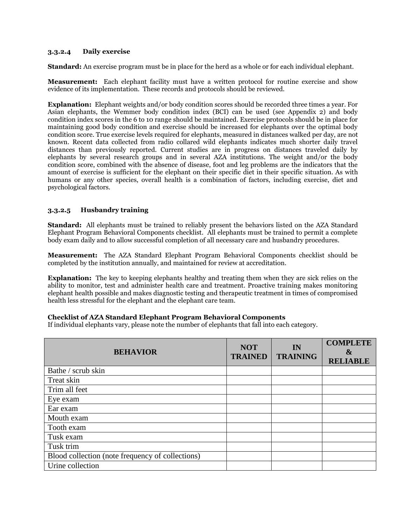### **3.3.2.4 Daily exercise**

**Standard:** An exercise program must be in place for the herd as a whole or for each individual elephant.

**Measurement:** Each elephant facility must have a written protocol for routine exercise and show evidence of its implementation. These records and protocols should be reviewed.

**Explanation:** Elephant weights and/or body condition scores should be recorded three times a year. For Asian elephants, the Wemmer body condition index (BCI) can be used (see Appendix 2) and body condition index scores in the 6 to 10 range should be maintained. Exercise protocols should be in place for maintaining good body condition and exercise should be increased for elephants over the optimal body condition score. True exercise levels required for elephants, measured in distances walked per day, are not known. Recent data collected from radio collared wild elephants indicates much shorter daily travel distances than previously reported. Current studies are in progress on distances traveled daily by elephants by several research groups and in several AZA institutions. The weight and/or the body condition score, combined with the absence of disease, foot and leg problems are the indicators that the amount of exercise is sufficient for the elephant on their specific diet in their specific situation. As with humans or any other species, overall health is a combination of factors, including exercise, diet and psychological factors.

## **3.3.2.5 Husbandry training**

**Standard:** All elephants must be trained to reliably present the behaviors listed on the AZA Standard Elephant Program Behavioral Components checklist. All elephants must be trained to permit a complete body exam daily and to allow successful completion of all necessary care and husbandry procedures.

**Measurement:** The AZA Standard Elephant Program Behavioral Components checklist should be completed by the institution annually, and maintained for review at accreditation.

**Explanation:** The key to keeping elephants healthy and treating them when they are sick relies on the ability to monitor, test and administer health care and treatment. Proactive training makes monitoring elephant health possible and makes diagnostic testing and therapeutic treatment in times of compromised health less stressful for the elephant and the elephant care team.

### **Checklist of AZA Standard Elephant Program Behavioral Components**

If individual elephants vary, please note the number of elephants that fall into each category.

| <b>BEHAVIOR</b>                                  | <b>NOT</b><br><b>TRAINED</b> | IN<br><b>TRAINING</b> | <b>COMPLETE</b><br>$\boldsymbol{\&}$<br><b>RELIABLE</b> |
|--------------------------------------------------|------------------------------|-----------------------|---------------------------------------------------------|
| Bathe / scrub skin                               |                              |                       |                                                         |
| Treat skin                                       |                              |                       |                                                         |
| Trim all feet                                    |                              |                       |                                                         |
| Eye exam                                         |                              |                       |                                                         |
| Ear exam                                         |                              |                       |                                                         |
| Mouth exam                                       |                              |                       |                                                         |
| Tooth exam                                       |                              |                       |                                                         |
| Tusk exam                                        |                              |                       |                                                         |
| Tusk trim                                        |                              |                       |                                                         |
| Blood collection (note frequency of collections) |                              |                       |                                                         |
| Urine collection                                 |                              |                       |                                                         |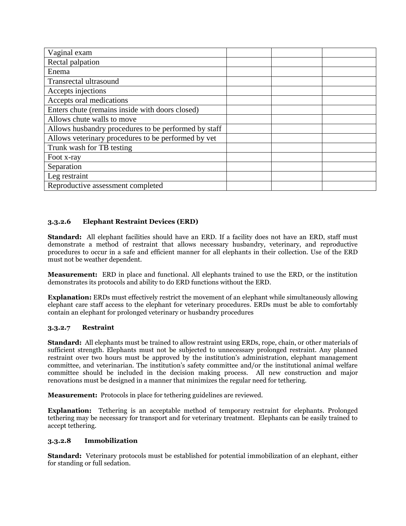| Vaginal exam                                         |  |  |
|------------------------------------------------------|--|--|
| Rectal palpation                                     |  |  |
| Enema                                                |  |  |
| Transrectal ultrasound                               |  |  |
| Accepts injections                                   |  |  |
| Accepts oral medications                             |  |  |
| Enters chute (remains inside with doors closed)      |  |  |
| Allows chute walls to move                           |  |  |
| Allows husbandry procedures to be performed by staff |  |  |
| Allows veterinary procedures to be performed by vet  |  |  |
| Trunk wash for TB testing                            |  |  |
| Foot x-ray                                           |  |  |
| Separation                                           |  |  |
| Leg restraint                                        |  |  |
| Reproductive assessment completed                    |  |  |

## **3.3.2.6 Elephant Restraint Devices (ERD)**

**Standard:** All elephant facilities should have an ERD. If a facility does not have an ERD, staff must demonstrate a method of restraint that allows necessary husbandry, veterinary, and reproductive procedures to occur in a safe and efficient manner for all elephants in their collection. Use of the ERD must not be weather dependent.

**Measurement:** ERD in place and functional. All elephants trained to use the ERD, or the institution demonstrates its protocols and ability to do ERD functions without the ERD.

**Explanation:** ERDs must effectively restrict the movement of an elephant while simultaneously allowing elephant care staff access to the elephant for veterinary procedures. ERDs must be able to comfortably contain an elephant for prolonged veterinary or husbandry procedures

### **3.3.2.7 Restraint**

**Standard:** All elephants must be trained to allow restraint using ERDs, rope, chain, or other materials of sufficient strength. Elephants must not be subjected to unnecessary prolonged restraint. Any planned restraint over two hours must be approved by the institution's administration, elephant management committee, and veterinarian. The institution's safety committee and/or the institutional animal welfare committee should be included in the decision making process. All new construction and major renovations must be designed in a manner that minimizes the regular need for tethering.

**Measurement:** Protocols in place for tethering guidelines are reviewed.

**Explanation:** Tethering is an acceptable method of temporary restraint for elephants. Prolonged tethering may be necessary for transport and for veterinary treatment. Elephants can be easily trained to accept tethering.

### **3.3.2.8 Immobilization**

**Standard:** Veterinary protocols must be established for potential immobilization of an elephant, either for standing or full sedation.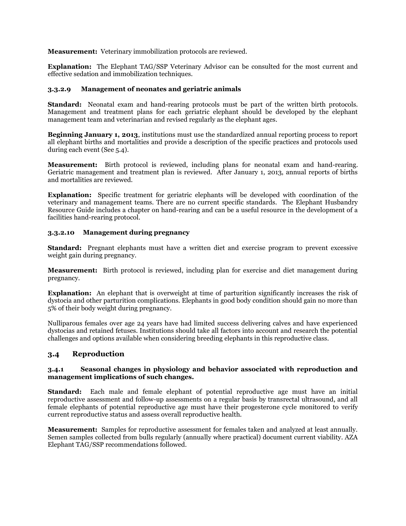**Measurement:** Veterinary immobilization protocols are reviewed.

**Explanation:** The Elephant TAG/SSP Veterinary Advisor can be consulted for the most current and effective sedation and immobilization techniques.

### **3.3.2.9 Management of neonates and geriatric animals**

**Standard:** Neonatal exam and hand-rearing protocols must be part of the written birth protocols. Management and treatment plans for each geriatric elephant should be developed by the elephant management team and veterinarian and revised regularly as the elephant ages.

**Beginning January 1, 2013**, institutions must use the standardized annual reporting process to report all elephant births and mortalities and provide a description of the specific practices and protocols used during each event (See 5.4).

**Measurement:** Birth protocol is reviewed, including plans for neonatal exam and hand-rearing. Geriatric management and treatment plan is reviewed. After January 1, 2013, annual reports of births and mortalities are reviewed.

**Explanation:** Specific treatment for geriatric elephants will be developed with coordination of the veterinary and management teams. There are no current specific standards. The Elephant Husbandry Resource Guide includes a chapter on hand-rearing and can be a useful resource in the development of a facilities hand-rearing protocol.

### **3.3.2.10 Management during pregnancy**

**Standard:** Pregnant elephants must have a written diet and exercise program to prevent excessive weight gain during pregnancy.

**Measurement:** Birth protocol is reviewed, including plan for exercise and diet management during pregnancy.

**Explanation:** An elephant that is overweight at time of parturition significantly increases the risk of dystocia and other parturition complications. Elephants in good body condition should gain no more than 5% of their body weight during pregnancy.

Nulliparous females over age 24 years have had limited success delivering calves and have experienced dystocias and retained fetuses. Institutions should take all factors into account and research the potential challenges and options available when considering breeding elephants in this reproductive class.

# **3.4 Reproduction**

### **3.4.1 Seasonal changes in physiology and behavior associated with reproduction and management implications of such changes.**

**Standard:** Each male and female elephant of potential reproductive age must have an initial reproductive assessment and follow-up assessments on a regular basis by transrectal ultrasound, and all female elephants of potential reproductive age must have their progesterone cycle monitored to verify current reproductive status and assess overall reproductive health.

**Measurement:** Samples for reproductive assessment for females taken and analyzed at least annually. Semen samples collected from bulls regularly (annually where practical) document current viability. AZA Elephant TAG/SSP recommendations followed.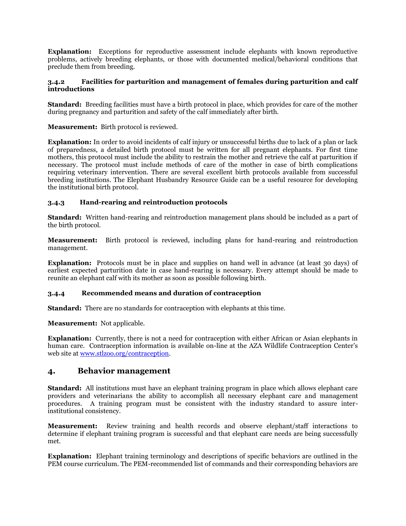**Explanation:** Exceptions for reproductive assessment include elephants with known reproductive problems, actively breeding elephants, or those with documented medical/behavioral conditions that preclude them from breeding.

### **3.4.2 Facilities for parturition and management of females during parturition and calf introductions**

**Standard:** Breeding facilities must have a birth protocol in place, which provides for care of the mother during pregnancy and parturition and safety of the calf immediately after birth.

**Measurement:** Birth protocol is reviewed.

**Explanation:** In order to avoid incidents of calf injury or unsuccessful births due to lack of a plan or lack of preparedness, a detailed birth protocol must be written for all pregnant elephants. For first time mothers, this protocol must include the ability to restrain the mother and retrieve the calf at parturition if necessary. The protocol must include methods of care of the mother in case of birth complications requiring veterinary intervention. There are several excellent birth protocols available from successful breeding institutions. The Elephant Husbandry Resource Guide can be a useful resource for developing the institutional birth protocol.

## **3.4.3 Hand-rearing and reintroduction protocols**

**Standard:** Written hand-rearing and reintroduction management plans should be included as a part of the birth protocol.

**Measurement:** Birth protocol is reviewed, including plans for hand-rearing and reintroduction management.

**Explanation:** Protocols must be in place and supplies on hand well in advance (at least 30 days) of earliest expected parturition date in case hand-rearing is necessary. Every attempt should be made to reunite an elephant calf with its mother as soon as possible following birth.

### **3.4.4 Recommended means and duration of contraception**

**Standard:** There are no standards for contraception with elephants at this time.

**Measurement:** Not applicable.

**Explanation:** Currently, there is not a need for contraception with either African or Asian elephants in human care. Contraception information is available on-line at the AZA Wildlife Contraception Center's web site at [www.stlzoo.org/contraception.](http://www.stlzoo.org/contraception)

## **4. Behavior management**

**Standard:** All institutions must have an elephant training program in place which allows elephant care providers and veterinarians the ability to accomplish all necessary elephant care and management procedures. A training program must be consistent with the industry standard to assure interinstitutional consistency.

**Measurement:** Review training and health records and observe elephant/staff interactions to determine if elephant training program is successful and that elephant care needs are being successfully met.

**Explanation:** Elephant training terminology and descriptions of specific behaviors are outlined in the PEM course curriculum. The PEM-recommended list of commands and their corresponding behaviors are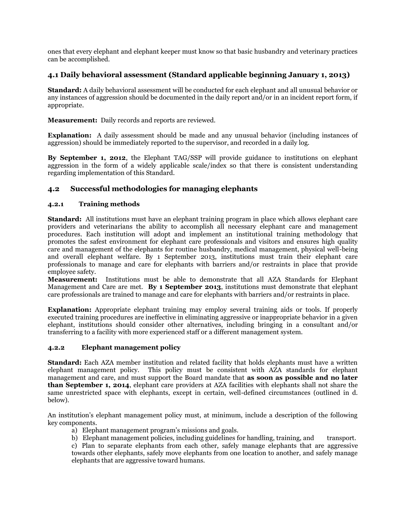ones that every elephant and elephant keeper must know so that basic husbandry and veterinary practices can be accomplished.

## **4.1 Daily behavioral assessment (Standard applicable beginning January 1, 2013)**

**Standard:** A daily behavioral assessment will be conducted for each elephant and all unusual behavior or any instances of aggression should be documented in the daily report and/or in an incident report form, if appropriate.

**Measurement:** Daily records and reports are reviewed.

**Explanation:** A daily assessment should be made and any unusual behavior (including instances of aggression) should be immediately reported to the supervisor, and recorded in a daily log.

**By September 1, 2012**, the Elephant TAG/SSP will provide guidance to institutions on elephant aggression in the form of a widely applicable scale/index so that there is consistent understanding regarding implementation of this Standard.

## **4.2 Successful methodologies for managing elephants**

### **4.2.1 Training methods**

**Standard:** All institutions must have an elephant training program in place which allows elephant care providers and veterinarians the ability to accomplish all necessary elephant care and management procedures. Each institution will adopt and implement an institutional training methodology that promotes the safest environment for elephant care professionals and visitors and ensures high quality care and management of the elephants for routine husbandry, medical management, physical well-being and overall elephant welfare. By 1 September 2013, institutions must train their elephant care professionals to manage and care for elephants with barriers and/or restraints in place that provide employee safety.

**Measurement:** Institutions must be able to demonstrate that all AZA Standards for Elephant Management and Care are met. **By 1 September 2013**, institutions must demonstrate that elephant care professionals are trained to manage and care for elephants with barriers and/or restraints in place.

**Explanation:** Appropriate elephant training may employ several training aids or tools. If properly executed training procedures are ineffective in eliminating aggressive or inappropriate behavior in a given elephant, institutions should consider other alternatives, including bringing in a consultant and/or transferring to a facility with more experienced staff or a different management system.

### **4.2.2 Elephant management policy**

**Standard:** Each AZA member institution and related facility that holds elephants must have a written elephant management policy. This policy must be consistent with AZA standards for elephant management and care, and must support the Board mandate that **as soon as possible and no later than September 1, 2014**, elephant care providers at AZA facilities with elephants shall not share the same unrestricted space with elephants, except in certain, well-defined circumstances (outlined in d. below).

An institution's elephant management policy must, at minimum, include a description of the following key components.

- a) Elephant management program's missions and goals.
- b) Elephant management policies, including guidelines for handling, training, and transport.
- c) Plan to separate elephants from each other, safely manage elephants that are aggressive towards other elephants, safely move elephants from one location to another, and safely manage elephants that are aggressive toward humans.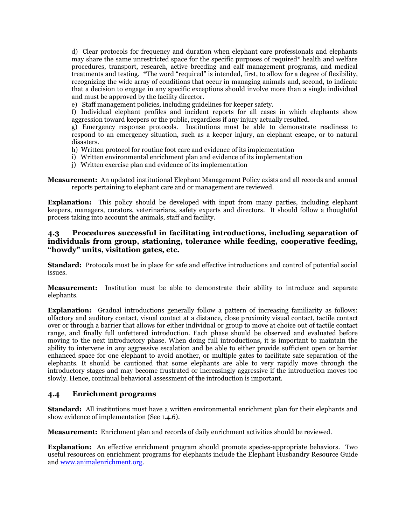d) Clear protocols for frequency and duration when elephant care professionals and elephants may share the same unrestricted space for the specific purposes of required\* health and welfare procedures, transport, research, active breeding and calf management programs, and medical treatments and testing. \*The word "required" is intended, first, to allow for a degree of flexibility, recognizing the wide array of conditions that occur in managing animals and, second, to indicate that a decision to engage in any specific exceptions should involve more than a single individual and must be approved by the facility director.

e) Staff management policies, including guidelines for keeper safety.

f) Individual elephant profiles and incident reports for all cases in which elephants show aggression toward keepers or the public, regardless if any injury actually resulted.

g) Emergency response protocols. Institutions must be able to demonstrate readiness to respond to an emergency situation, such as a keeper injury, an elephant escape, or to natural disasters.

- h) Written protocol for routine foot care and evidence of its implementation
- i) Written environmental enrichment plan and evidence of its implementation
- j) Written exercise plan and evidence of its implementation

**Measurement:** An updated institutional Elephant Management Policy exists and all records and annual reports pertaining to elephant care and or management are reviewed.

**Explanation:** This policy should be developed with input from many parties, including elephant keepers, managers, curators, veterinarians, safety experts and directors. It should follow a thoughtful process taking into account the animals, staff and facility.

### **4.3 Procedures successful in facilitating introductions, including separation of individuals from group, stationing, tolerance while feeding, cooperative feeding, "howdy" units, visitation gates, etc.**

**Standard:** Protocols must be in place for safe and effective introductions and control of potential social issues.

**Measurement:** Institution must be able to demonstrate their ability to introduce and separate elephants.

**Explanation:** Gradual introductions generally follow a pattern of increasing familiarity as follows: olfactory and auditory contact, visual contact at a distance, close proximity visual contact, tactile contact over or through a barrier that allows for either individual or group to move at choice out of tactile contact range, and finally full unfettered introduction. Each phase should be observed and evaluated before moving to the next introductory phase. When doing full introductions, it is important to maintain the ability to intervene in any aggressive escalation and be able to either provide sufficient open or barrier enhanced space for one elephant to avoid another, or multiple gates to facilitate safe separation of the elephants. It should be cautioned that some elephants are able to very rapidly move through the introductory stages and may become frustrated or increasingly aggressive if the introduction moves too slowly. Hence, continual behavioral assessment of the introduction is important.

### **4.4 Enrichment programs**

**Standard:** All institutions must have a written environmental enrichment plan for their elephants and show evidence of implementation (See 1.4.6).

**Measurement:** Enrichment plan and records of daily enrichment activities should be reviewed.

**Explanation:** An effective enrichment program should promote species-appropriate behaviors. Two useful resources on enrichment programs for elephants include the Elephant Husbandry Resource Guide and [www.animalenrichment.org.](http://www.animalenrichment.org/)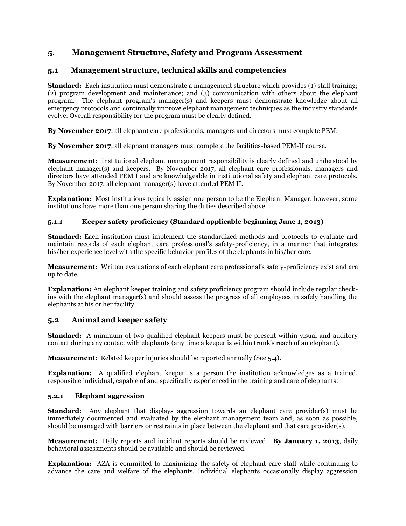# **5**. **Management Structure, Safety and Program Assessment**

# **5.1 Management structure, technical skills and competencies**

**Standard:** Each institution must demonstrate a management structure which provides (1) staff training; (2) program development and maintenance; and (3) communication with others about the elephant program. The elephant program's manager(s) and keepers must demonstrate knowledge about all emergency protocols and continually improve elephant management techniques as the industry standards evolve. Overall responsibility for the program must be clearly defined.

**By November 2017**, all elephant care professionals, managers and directors must complete PEM.

**By November 2017**, all elephant managers must complete the facilities-based PEM-II course.

**Measurement:** Institutional elephant management responsibility is clearly defined and understood by elephant manager(s) and keepers. By November 2017, all elephant care professionals, managers and directors have attended PEM I and are knowledgeable in institutional safety and elephant care protocols. By November 2017, all elephant manager(s) have attended PEM II.

**Explanation:** Most institutions typically assign one person to be the Elephant Manager, however, some institutions have more than one person sharing the duties described above.

# **5.1.1 Keeper safety proficiency (Standard applicable beginning June 1, 2013)**

**Standard:** Each institution must implement the standardized methods and protocols to evaluate and maintain records of each elephant care professional's safety-proficiency, in a manner that integrates his/her experience level with the specific behavior profiles of the elephants in his/her care.

**Measurement:** Written evaluations of each elephant care professional's safety-proficiency exist and are up to date.

**Explanation:** An elephant keeper training and safety proficiency program should include regular checkins with the elephant manager(s) and should assess the progress of all employees in safely handling the elephants at his or her facility.

# **5.2 Animal and keeper safety**

**Standard:** A minimum of two qualified elephant keepers must be present within visual and auditory contact during any contact with elephants (any time a keeper is within trunk's reach of an elephant).

**Measurement:** Related keeper injuries should be reported annually (See 5.4).

**Explanation:** A qualified elephant keeper is a person the institution acknowledges as a trained, responsible individual, capable of and specifically experienced in the training and care of elephants.

## **5.2.1 Elephant aggression**

**Standard:** Any elephant that displays aggression towards an elephant care provider(s) must be immediately documented and evaluated by the elephant management team and, as soon as possible, should be managed with barriers or restraints in place between the elephant and that care provider(s).

**Measurement:** Daily reports and incident reports should be reviewed. **By January 1, 2013**, daily behavioral assessments should be available and should be reviewed.

**Explanation:** AZA is committed to maximizing the safety of elephant care staff while continuing to advance the care and welfare of the elephants. Individual elephants occasionally display aggression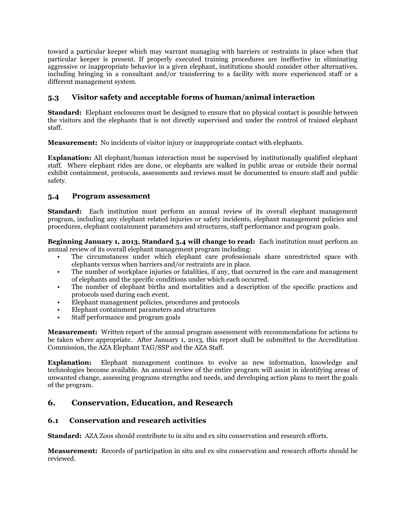toward a particular keeper which may warrant managing with barriers or restraints in place when that particular keeper is present. If properly executed training procedures are ineffective in eliminating aggressive or inappropriate behavior in a given elephant, institutions should consider other alternatives, including bringing in a consultant and/or transferring to a facility with more experienced staff or a different management system.

# **5.3 Visitor safety and acceptable forms of human/animal interaction**

**Standard:** Elephant enclosures must be designed to ensure that no physical contact is possible between the visitors and the elephants that is not directly supervised and under the control of trained elephant staff.

**Measurement:** No incidents of visitor injury or inappropriate contact with elephants.

**Explanation:** All elephant/human interaction must be supervised by institutionally qualified elephant staff. Where elephant rides are done, or elephants are walked in public areas or outside their normal exhibit containment, protocols, assessments and reviews must be documented to ensure staff and public safety.

## **5.4 Program assessment**

**Standard:** Each institution must perform an annual review of its overall elephant management program, including any elephant related injuries or safety incidents, elephant management policies and procedures, elephant containment parameters and structures, staff performance and program goals.

**Beginning January 1, 2013, Standard 5.4 will change to read:** Each institution must perform an annual review of its overall elephant management program including:

- The circumstances under which elephant care professionals share unrestricted space with elephants versus when barriers and/or restraints are in place.
- The number of workplace injuries or fatalities, if any, that occurred in the care and management of elephants and the specific conditions under which each occurred.
- The number of elephant births and mortalities and a description of the specific practices and protocols used during each event.
- Elephant management policies, procedures and protocols
- Elephant containment parameters and structures
- Staff performance and program goals

**Measurement:** Written report of the annual program assessment with recommendations for actions to be taken where appropriate. After January 1, 2013, this report shall be submitted to the Accreditation Commission, the AZA Elephant TAG/SSP and the AZA Staff.

**Explanation:** Elephant management continues to evolve as new information, knowledge and technologies become available. An annual review of the entire program will assist in identifying areas of unwanted change, assessing programs strengths and needs, and developing action plans to meet the goals of the program.

# **6. Conservation, Education, and Research**

# **6.1 Conservation and research activities**

**Standard:** AZA Zoos should contribute to in situ and ex situ conservation and research efforts.

**Measurement:** Records of participation in situ and ex situ conservation and research efforts should be reviewed.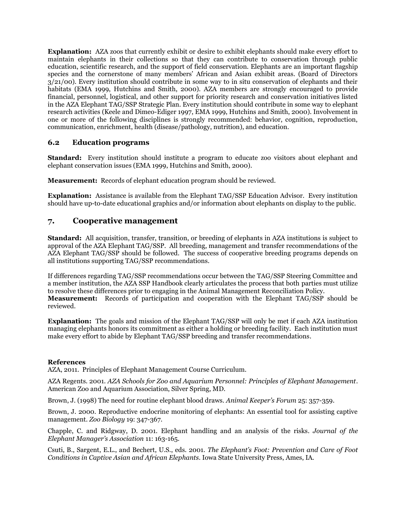**Explanation:** AZA zoos that currently exhibit or desire to exhibit elephants should make every effort to maintain elephants in their collections so that they can contribute to conservation through public education, scientific research, and the support of field conservation. Elephants are an important flagship species and the cornerstone of many members' African and Asian exhibit areas. (Board of Directors 3/21/00). Every institution should contribute in some way to in situ conservation of elephants and their habitats (EMA 1999, Hutchins and Smith, 2000). AZA members are strongly encouraged to provide financial, personnel, logistical, and other support for priority research and conservation initiatives listed in the AZA Elephant TAG/SSP Strategic Plan. Every institution should contribute in some way to elephant research activities (Keele and Dimeo-Ediger 1997, EMA 1999, Hutchins and Smith, 2000). Involvement in one or more of the following disciplines is strongly recommended: behavior, cognition, reproduction, communication, enrichment, health (disease/pathology, nutrition), and education.

## **6.2 Education programs**

**Standard:** Every institution should institute a program to educate zoo visitors about elephant and elephant conservation issues (EMA 1999, Hutchins and Smith, 2000).

**Measurement:** Records of elephant education program should be reviewed.

**Explanation:** Assistance is available from the Elephant TAG/SSP Education Advisor. Every institution should have up-to-date educational graphics and/or information about elephants on display to the public.

## **7. Cooperative management**

**Standard:** All acquisition, transfer, transition, or breeding of elephants in AZA institutions is subject to approval of the AZA Elephant TAG/SSP. All breeding, management and transfer recommendations of the AZA Elephant TAG/SSP should be followed. The success of cooperative breeding programs depends on all institutions supporting TAG/SSP recommendations.

If differences regarding TAG/SSP recommendations occur between the TAG/SSP Steering Committee and a member institution, the AZA SSP Handbook clearly articulates the process that both parties must utilize to resolve these differences prior to engaging in the Animal Management Reconciliation Policy. **Measurement:** Records of participation and cooperation with the Elephant TAG/SSP should be reviewed.

**Explanation:** The goals and mission of the Elephant TAG/SSP will only be met if each AZA institution managing elephants honors its commitment as either a holding or breeding facility. Each institution must make every effort to abide by Elephant TAG/SSP breeding and transfer recommendations.

### **References**

AZA, 2011. Principles of Elephant Management Course Curriculum.

AZA Regents. 2001. *AZA Schools for Zoo and Aquarium Personnel: Principles of Elephant Management*. American Zoo and Aquarium Association, Silver Spring, MD.

Brown, J. (1998) The need for routine elephant blood draws. *Animal Keeper's Forum* 25: 357-359.

Brown, J. 2000. Reproductive endocrine monitoring of elephants: An essential tool for assisting captive management. *Zoo Biology* 19: 347-367.

Chapple, C. and Ridgway, D. 2001. Elephant handling and an analysis of the risks*. Journal of the Elephant Manager's Association* 11: 163-165.

Csuti, B., Sargent, E.L., and Bechert, U.S., eds. 2001. *The Elephant's Foot: Prevention and Care of Foot Conditions in Captive Asian and African Elephants*. Iowa State University Press, Ames, IA.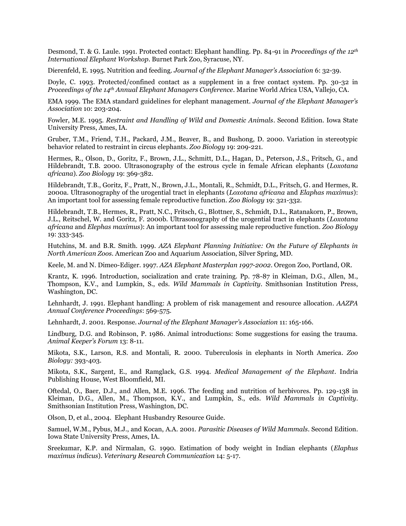Desmond, T. & G. Laule. 1991. Protected contact: Elephant handling. Pp. 84-91 in *Proceedings of the 12th International Elephant Workshop*. Burnet Park Zoo, Syracuse, NY.

Dierenfeld, E. 1995. Nutrition and feeding. *Journal of the Elephant Manager's Association* 6: 32-39.

Doyle, C. 1993. Protected/confined contact as a supplement in a free contact system. Pp. 30-32 in *Proceedings of the 14th Annual Elephant Managers Conference*. Marine World Africa USA, Vallejo, CA.

EMA 1999. The EMA standard guidelines for elephant management. *Journal of the Elephant Manager's Association* 10: 203-204.

Fowler, M.E. 1995. *Restraint and Handling of Wild and Domestic Animals*. Second Edition. Iowa State University Press, Ames, IA.

Gruber, T.M., Friend, T.H., Packard, J.M., Beaver, B., and Bushong, D. 2000. Variation in stereotypic behavior related to restraint in circus elephants*. Zoo Biology* 19: 209-221.

Hermes, R., Olson, D., Goritz, F., Brown, J.L., Schmitt, D.L., Hagan, D., Peterson, J.S., Fritsch, G., and Hildebrandt, T.B. 2000. Ultrasonography of the estrous cycle in female African elephants (*Loxotana africana*). *Zoo Biology* 19: 369-382.

Hildebrandt, T.B., Goritz, F., Pratt, N., Brown, J.L., Montali, R., Schmidt, D.L., Fritsch, G. and Hermes, R. 2000a. Ultrasonography of the urogential tract in elephants (*Loxotana africana* and *Elaphas maximus*): An important tool for assessing female reproductive function. *Zoo Biology* 19: 321-332.

Hildebrandt, T.B., Hermes, R., Pratt, N.C., Fritsch, G., Blottner, S., Schmidt, D.L., Ratanakorn, P., Brown, J.L., Reitschel, W. and Goritz, F. 2000b. Ultrasonography of the urogential tract in elephants (*Loxotana africana* and *Elephas maximus*): An important tool for assessing male reproductive function. *Zoo Biology* 19: 333-345.

Hutchins, M. and B.R. Smith. 1999. *AZA Elephant Planning Initiative: On the Future of Elephants in North American Zoos*. American Zoo and Aquarium Association, Silver Spring, MD.

Keele, M. and N. Dimeo-Ediger. 1997. *AZA Elephant Masterplan 1997-2002*. Oregon Zoo, Portland, OR.

Krantz, K. 1996. Introduction, socialization and crate training. Pp. 78-87 in Kleiman, D.G., Allen, M., Thompson, K.V., and Lumpkin, S., eds. *Wild Mammals in Captivity*. Smithsonian Institution Press, Washington, DC.

Lehnhardt, J. 1991. Elephant handling: A problem of risk management and resource allocation*. AAZPA Annual Conference Proceedings*: 569-575.

Lehnhardt, J. 2001. Response. *Journal of the Elephant Manager's Association* 11: 165-166.

Lindburg, D.G. and Robinson, P. 1986. Animal introductions: Some suggestions for easing the trauma. *Animal Keeper's Forum* 13: 8-11.

Mikota, S.K., Larson, R.S. and Montali, R. 2000. Tuberculosis in elephants in North America. *Zoo Biology:* 393-403.

Mikota, S.K., Sargent, E., and Ramglack, G.S. 1994. *Medical Management of the Elephant*. Indria Publishing House, West Bloomfield, MI.

Oftedal, O., Baer, D.J., and Allen, M.E. 1996. The feeding and nutrition of herbivores. Pp. 129-138 in Kleiman, D.G., Allen, M., Thompson, K.V., and Lumpkin, S., eds. *Wild Mammals in Captivity*. Smithsonian Institution Press, Washington, DC.

Olson, D, et al., 2004. Elephant Husbandry Resource Guide.

Samuel, W.M., Pybus, M.J., and Kocan, A.A. 2001. *Parasitic Diseases of Wild Mammals*. Second Edition. Iowa State University Press, Ames, IA.

Sreekumar, K.P. and Nirmalan, G. 1990. Estimation of body weight in Indian elephants (*Elaphus maximus indicus*). *Veterinary Research Communication* 14: 5-17.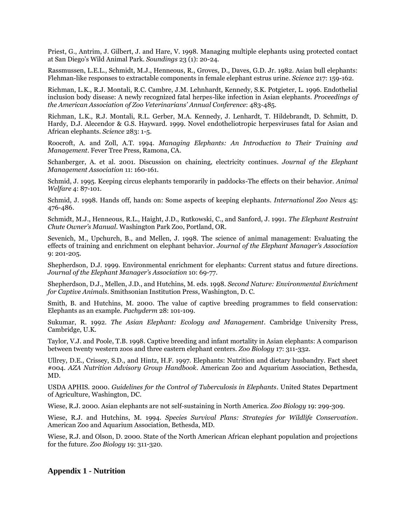Priest, G., Antrim, J. Gilbert, J. and Hare, V. 1998. Managing multiple elephants using protected contact at San Diego's Wild Animal Park. *Soundings* 23 (1): 20-24.

Rassmussen, L.E.L., Schmidt, M.J., Henneous, R., Groves, D., Daves, G.D. Jr. 1982. Asian bull elephants: Flehman-like responses to extractable components in female elephant estrus urine. *Science* 217: 159-162.

Richman, L.K., R.J. Montali, R.C. Cambre, J.M. Lehnhardt, Kennedy, S.K. Potgieter, L. 1996. Endothelial inclusion body disease: A newly recognized fatal herpes-like infection in Asian elephants. *Proceedings of the American Association of Zoo Veterinarians' Annual Conference*: 483-485.

Richman, L.K., R.J. Montali, R.L. Gerber, M.A. Kennedy, J. Lenhardt, T. Hildebrandt, D. Schmitt, D. Hardy, D.J. Alecendor & G.S. Hayward. 1999. Novel endotheliotropic herpesviruses fatal for Asian and African elephants. *Science* 283: 1-5.

Roocroft, A. and Zoll, A.T. 1994. *Managing Elephants: An Introduction to Their Training and Management*. Fever Tree Press, Ramona, CA.

Schanberger, A. et al. 2001. Discussion on chaining, electricity continues*. Journal of the Elephant Management Association* 11: 160-161.

Schmid, J. 1995. Keeping circus elephants temporarily in paddocks-The effects on their behavior. *Animal Welfare* 4: 87-101.

Schmid, J. 1998. Hands off, hands on: Some aspects of keeping elephants. *International Zoo News* 45: 476-486.

Schmidt, M.J., Henneous, R.L., Haight, J.D., Rutkowski, C., and Sanford, J. 1991. *The Elephant Restraint Chute Owner's Manual*. Washington Park Zoo, Portland, OR.

Sevenich, M., Upchurch, B., and Mellen, J. 1998. The science of animal management: Evaluating the effects of training and enrichment on elephant behavior*. Journal of the Elephant Manager's Association* 9: 201-205.

Shepherdson, D.J. 1999. Environmental enrichment for elephants: Current status and future directions. *Journal of the Elephant Manager's Association* 10: 69-77.

Shepherdson, D.J., Mellen, J.D., and Hutchins, M. eds. 1998. *Second Nature: Environmental Enrichment for Captive Animals*. Smithsonian Institution Press, Washington, D. C.

Smith, B. and Hutchins, M. 2000. The value of captive breeding programmes to field conservation: Elephants as an example*. Pachyderm* 28: 101-109.

Sukumar, R. 1992. *The Asian Elephant: Ecology and Management*. Cambridge University Press, Cambridge, U.K.

Taylor, V.J. and Poole, T.B. 1998. Captive breeding and infant mortality in Asian elephants: A comparison between twenty western zoos and three eastern elephant centers. *Zoo Biology* 17: 311-332.

Ullrey, D.E., Crissey, S.D., and Hintz, H.F. 1997. Elephants: Nutrition and dietary husbandry. Fact sheet #004. *AZA Nutrition Advisory Group Handbook*. American Zoo and Aquarium Association, Bethesda, MD.

USDA APHIS. 2000. *Guidelines for the Control of Tuberculosis in Elephants*. United States Department of Agriculture, Washington, DC.

Wiese, R.J. 2000. Asian elephants are not self-sustaining in North America. *Zoo Biology* 19: 299-309.

Wiese, R.J. and Hutchins, M. 1994. *Species Survival Plans: Strategies for Wildlife Conservation*. American Zoo and Aquarium Association, Bethesda, MD.

Wiese, R.J. and Olson, D. 2000. State of the North American African elephant population and projections for the future. *Zoo Biology* 19: 311-320.

## **Appendix 1 - Nutrition**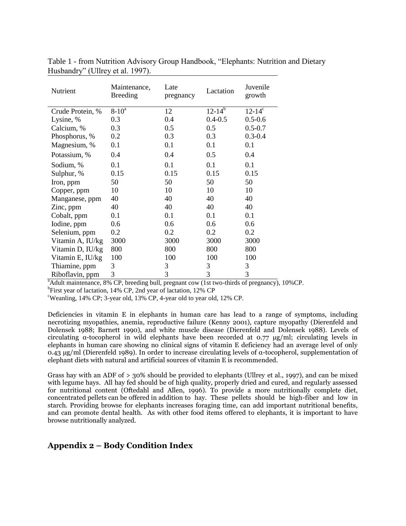| Nutrient         | Maintenance,<br><b>Breeding</b> | Late<br>pregnancy | Lactation   | Juvenile<br>growth |
|------------------|---------------------------------|-------------------|-------------|--------------------|
| Crude Protein, % | $8 - 10^a$                      | 12                | $12-14^{b}$ | $12 - 14^c$        |
| Lysine, %        | 0.3                             | 0.4               | $0.4 - 0.5$ | $0.5 - 0.6$        |
| Calcium, %       | 0.3                             | 0.5               | 0.5         | $0.5 - 0.7$        |
| Phosphorus, %    | 0.2                             | 0.3               | 0.3         | $0.3 - 0.4$        |
| Magnesium, %     | 0.1                             | 0.1               | 0.1         | 0.1                |
| Potassium, %     | 0.4                             | 0.4               | 0.5         | 0.4                |
| Sodium, %        | 0.1                             | 0.1               | 0.1         | 0.1                |
| Sulphur, %       | 0.15                            | 0.15              | 0.15        | 0.15               |
| Iron, ppm        | 50                              | 50                | 50          | 50                 |
| Copper, ppm      | 10                              | 10                | 10          | 10                 |
| Manganese, ppm   | 40                              | 40                | 40          | 40                 |
| Zinc, ppm        | 40                              | 40                | 40          | 40                 |
| Cobalt, ppm      | 0.1                             | 0.1               | 0.1         | 0.1                |
| Iodine, ppm      | 0.6                             | 0.6               | 0.6         | 0.6                |
| Selenium, ppm    | 0.2                             | 0.2               | 0.2         | 0.2                |
| Vitamin A, IU/kg | 3000                            | 3000              | 3000        | 3000               |
| Vitamin D, IU/kg | 800                             | 800               | 800         | 800                |
| Vitamin E, IU/kg | 100                             | 100               | 100         | 100                |
| Thiamine, ppm    | 3                               | 3                 | 3           | 3                  |
| Riboflavin, ppm  | 3                               | 3                 | 3           | 3                  |

Table 1 - from Nutrition Advisory Group Handbook, "Elephants: Nutrition and Dietary Husbandry" (Ullrey et al. 1997).

<sup>a</sup>Adult maintenance, 8% CP, breeding bull, pregnant cow (1st two-thirds of pregnancy), 10%CP.

<sup>b</sup>First year of lactation, 14% CP, 2nd year of lactation, 12% CP

<sup>c</sup>Weanling, 14% CP; 3-year old, 13% CP, 4-year old to year old, 12% CP.

Deficiencies in vitamin E in elephants in human care has lead to a range of symptoms, including necrotizing myopathies, anemia, reproductive failure (Kenny 2001), capture myopathy (Dierenfeld and Dolensek 1988; Barnett 1990), and white muscle disease (Dierenfeld and Dolensek 1988). Levels of circulating α-tocopherol in wild elephants have been recorded at 0.77 μg/ml; circulating levels in elephants in human care showing no clinical signs of vitamin E deficiency had an average level of only 0.43 μg/ml (Dierenfeld 1989). In order to increase circulating levels of α-tocopherol, supplementation of elephant diets with natural and artificial sources of vitamin E is recommended.

Grass hay with an ADF of > 30% should be provided to elephants (Ullrey et al., 1997), and can be mixed with legume hays. All hay fed should be of high quality, properly dried and cured, and regularly assessed for nutritional content (Oftedahl and Allen, 1996). To provide a more nutritionally complete diet, concentrated pellets can be offered in addition to hay. These pellets should be high-fiber and low in starch. Providing browse for elephants increases foraging time, can add important nutritional benefits, and can promote dental health. As with other food items offered to elephants, it is important to have browse nutritionally analyzed.

# **Appendix 2 – Body Condition Index**